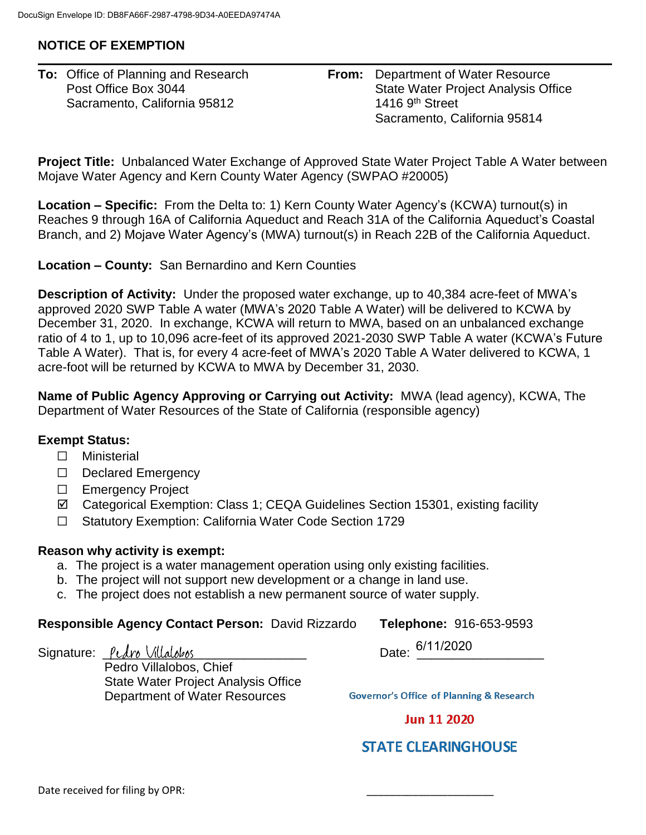## **NOTICE OF EXEMPTION**

| <b>To:</b> Office of Planning and Research | <b>From:</b> Department of Water Resource |
|--------------------------------------------|-------------------------------------------|
| Post Office Box 3044                       | State Water Project Analysis Office       |
| Sacramento, California 95812               | 1416 $9th$ Street                         |
|                                            | Sacramento, California 95814              |

**Project Title:** Unbalanced Water Exchange of Approved State Water Project Table A Water between Mojave Water Agency and Kern County Water Agency (SWPAO #20005)

**Location – Specific:** From the Delta to: 1) Kern County Water Agency's (KCWA) turnout(s) in Reaches 9 through 16A of California Aqueduct and Reach 31A of the California Aqueduct's Coastal Branch, and 2) Mojave Water Agency's (MWA) turnout(s) in Reach 22B of the California Aqueduct.

**Location – County:** San Bernardino and Kern Counties

**Description of Activity:** Under the proposed water exchange, up to 40,384 acre-feet of MWA's approved 2020 SWP Table A water (MWA's 2020 Table A Water) will be delivered to KCWA by December 31, 2020. In exchange, KCWA will return to MWA, based on an unbalanced exchange ratio of 4 to 1, up to 10,096 acre-feet of its approved 2021-2030 SWP Table A water (KCWA's Future Table A Water). That is, for every 4 acre-feet of MWA's 2020 Table A Water delivered to KCWA, 1 acre-foot will be returned by KCWA to MWA by December 31, 2030.

**Name of Public Agency Approving or Carrying out Activity:** MWA (lead agency), KCWA, The Department of Water Resources of the State of California (responsible agency)

## **Exempt Status:**

- □ Ministerial
- ☐ Declared Emergency
- ☐ Emergency Project
- Categorical Exemption: Class 1; CEQA Guidelines Section 15301, existing facility
- ☐ Statutory Exemption: California Water Code Section 1729

## **Reason why activity is exempt:**

- a. The project is a water management operation using only existing facilities.
- b. The project will not support new development or a change in land use.
- c. The project does not establish a new permanent source of water supply.

## **Responsible Agency Contact Person:** David Rizzardo **Telephone:** 916-653-9593

 $S$ ignature:  $P$ cdro Villalobos

Pedro Villalobos, Chief State Water Project Analysis Office Department of Water Resources

Date: 6/11/2020

**Governor's Office of Planning & Research** 

**Jun 11 2020** 

**STATE CLEARINGHOUSE**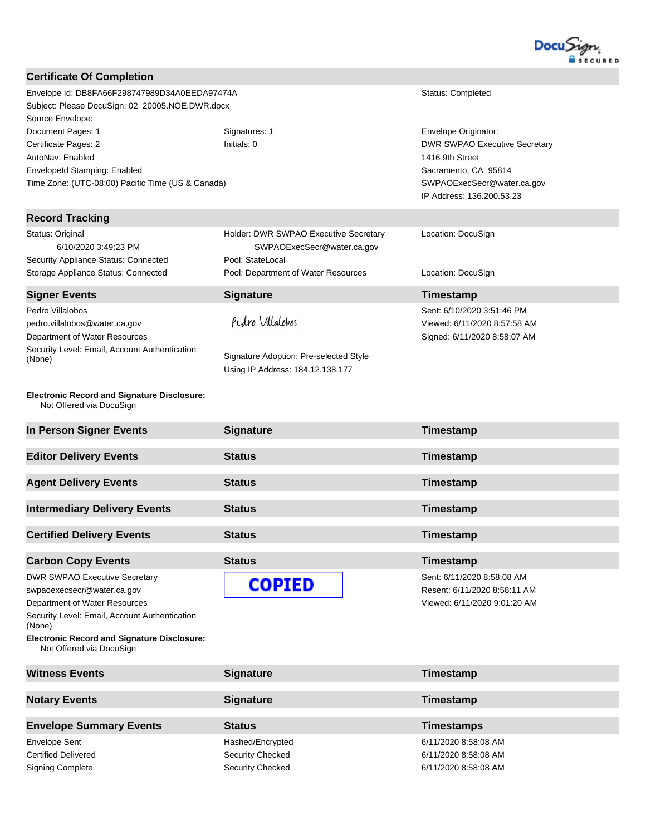

| <b>Certificate Of Completion</b>                                                         |                                        |                                      |
|------------------------------------------------------------------------------------------|----------------------------------------|--------------------------------------|
|                                                                                          |                                        |                                      |
| Envelope Id: DB8FA66F298747989D34A0EEDA97474A                                            |                                        | Status: Completed                    |
| Subject: Please DocuSign: 02_20005.NOE.DWR.docx                                          |                                        |                                      |
| Source Envelope:                                                                         |                                        |                                      |
| Document Pages: 1                                                                        | Signatures: 1                          | Envelope Originator:                 |
|                                                                                          | Initials: 0                            | <b>DWR SWPAO Executive Secretary</b> |
| Certificate Pages: 2                                                                     |                                        |                                      |
| AutoNav: Enabled                                                                         |                                        | 1416 9th Street                      |
| EnvelopeId Stamping: Enabled                                                             |                                        | Sacramento, CA 95814                 |
| Time Zone: (UTC-08:00) Pacific Time (US & Canada)                                        |                                        | SWPAOExecSecr@water.ca.gov           |
|                                                                                          |                                        | IP Address: 136.200.53.23            |
| <b>Record Tracking</b>                                                                   |                                        |                                      |
| Status: Original                                                                         | Holder: DWR SWPAO Executive Secretary  | Location: DocuSign                   |
| 6/10/2020 3:49:23 PM                                                                     | SWPAOExecSecr@water.ca.gov             |                                      |
|                                                                                          | Pool: StateLocal                       |                                      |
| Security Appliance Status: Connected                                                     |                                        |                                      |
| Storage Appliance Status: Connected                                                      | Pool: Department of Water Resources    | Location: DocuSign                   |
| <b>Signer Events</b>                                                                     | <b>Signature</b>                       | Timestamp                            |
| Pedro Villalobos                                                                         |                                        | Sent: 6/10/2020 3:51:46 PM           |
| pedro.villalobos@water.ca.gov                                                            | Pedro Villalobos                       | Viewed: 6/11/2020 8:57:58 AM         |
| Department of Water Resources                                                            |                                        | Signed: 6/11/2020 8:58:07 AM         |
| Security Level: Email, Account Authentication                                            |                                        |                                      |
| (None)                                                                                   | Signature Adoption: Pre-selected Style |                                      |
|                                                                                          | Using IP Address: 184.12.138.177       |                                      |
| <b>Electronic Record and Signature Disclosure:</b><br>Not Offered via DocuSign           |                                        |                                      |
| In Person Signer Events                                                                  | <b>Signature</b>                       | Timestamp                            |
| <b>Editor Delivery Events</b>                                                            | <b>Status</b>                          | Timestamp                            |
| <b>Agent Delivery Events</b>                                                             | <b>Status</b>                          | Timestamp                            |
|                                                                                          |                                        |                                      |
| <b>Intermediary Delivery Events</b>                                                      |                                        |                                      |
|                                                                                          | <b>Status</b>                          | Timestamp                            |
|                                                                                          |                                        |                                      |
| <b>Certified Delivery Events</b>                                                         | <b>Status</b>                          | <b>Timestamp</b>                     |
| <b>Carbon Copy Events</b>                                                                | <b>Status</b>                          | Timestamp                            |
|                                                                                          |                                        |                                      |
| <b>DWR SWPAO Executive Secretary</b>                                                     |                                        | Sent: 6/11/2020 8:58:08 AM           |
| swpaoexecsecr@water.ca.gov                                                               | <b>COPIED</b>                          | Resent: 6/11/2020 8:58:11 AM         |
| Department of Water Resources<br>Security Level: Email, Account Authentication           |                                        | Viewed: 6/11/2020 9:01:20 AM         |
| (None)<br><b>Electronic Record and Signature Disclosure:</b><br>Not Offered via DocuSign |                                        |                                      |
|                                                                                          |                                        |                                      |
| <b>Witness Events</b>                                                                    | <b>Signature</b>                       | Timestamp                            |
|                                                                                          |                                        |                                      |
| <b>Notary Events</b>                                                                     | <b>Signature</b>                       | Timestamp                            |
| <b>Envelope Summary Events</b>                                                           | <b>Status</b>                          | <b>Timestamps</b>                    |
| <b>Envelope Sent</b>                                                                     | Hashed/Encrypted                       | 6/11/2020 8:58:08 AM                 |

Signing Complete Signing Complete Security Checked Security Checked 6/11/2020 8:58:08 AM